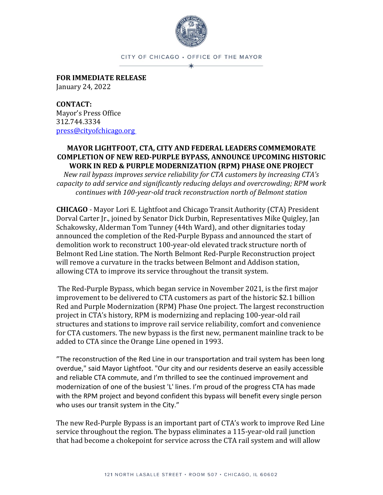

CITY OF CHICAGO · OFFICE OF THE MAYOR

**FOR IMMEDIATE RELEASE** January 24, 2022

**CONTACT:** Mayor's Press Office 312.744.3334 [press@cityofchicago.org](mailto:press@cityofchicago.org)

## **MAYOR LIGHTFOOT, CTA, CITY AND FEDERAL LEADERS COMMEMORATE COMPLETION OF NEW RED-PURPLE BYPASS, ANNOUNCE UPCOMING HISTORIC WORK IN RED & PURPLE MODERNIZATION (RPM) PHASE ONE PROJECT**

*New rail bypass improves service reliability for CTA customers by increasing CTA's capacity to add service and significantly reducing delays and overcrowding; RPM work continues with 100-year-old track reconstruction north of Belmont station*

**CHICAGO** - Mayor Lori E. Lightfoot and Chicago Transit Authority (CTA) President Dorval Carter Jr., joined by Senator Dick Durbin, Representatives Mike Quigley, Jan Schakowsky, Alderman Tom Tunney (44th Ward), and other dignitaries today announced the completion of the Red-Purple Bypass and announced the start of demolition work to reconstruct 100-year-old elevated track structure north of Belmont Red Line station. The North Belmont Red-Purple Reconstruction project will remove a curvature in the tracks between Belmont and Addison station, allowing CTA to improve its service throughout the transit system.

The Red-Purple Bypass, which began service in November 2021, is the first major improvement to be delivered to CTA customers as part of the historic \$2.1 billion Red and Purple Modernization (RPM) Phase One project. The largest reconstruction project in CTA's history, RPM is modernizing and replacing 100-year-old rail structures and stations to improve rail service reliability, comfort and convenience for CTA customers. The new bypass is the first new, permanent mainline track to be added to CTA since the Orange Line opened in 1993.

"The reconstruction of the Red Line in our transportation and trail system has been long overdue," said Mayor Lightfoot. "Our city and our residents deserve an easily accessible and reliable CTA commute, and I'm thrilled to see the continued improvement and modernization of one of the busiest 'L' lines. I'm proud of the progress CTA has made with the RPM project and beyond confident this bypass will benefit every single person who uses our transit system in the City."

The new Red-Purple Bypass is an important part of CTA's work to improve Red Line service throughout the region. The bypass eliminates a 115-year-old rail junction that had become a chokepoint for service across the CTA rail system and will allow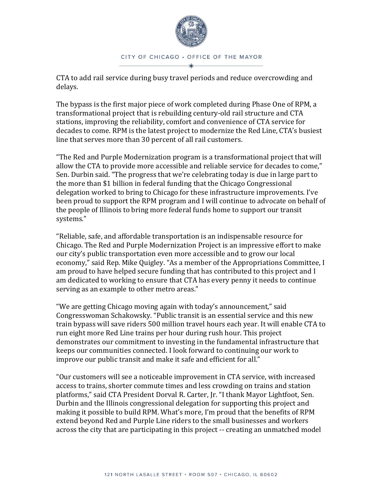

CTA to add rail service during busy travel periods and reduce overcrowding and delays.

The bypass is the first major piece of work completed during Phase One of RPM, a transformational project that is rebuilding century-old rail structure and CTA stations, improving the reliability, comfort and convenience of CTA service for decades to come. RPM is the latest project to modernize the Red Line, CTA's busiest line that serves more than 30 percent of all rail customers.

"The Red and Purple Modernization program is a transformational project that will allow the CTA to provide more accessible and reliable service for decades to come," Sen. Durbin said. "The progress that we're celebrating today is due in large part to the more than \$1 billion in federal funding that the Chicago Congressional delegation worked to bring to Chicago for these infrastructure improvements. I've been proud to support the RPM program and I will continue to advocate on behalf of the people of Illinois to bring more federal funds home to support our transit systems."

"Reliable, safe, and affordable transportation is an indispensable resource for Chicago. The Red and Purple Modernization Project is an impressive effort to make our city's public transportation even more accessible and to grow our local economy," said Rep. Mike Quigley. "As a member of the Appropriations Committee, I am proud to have helped secure funding that has contributed to this project and I am dedicated to working to ensure that CTA has every penny it needs to continue serving as an example to other metro areas."

"We are getting Chicago moving again with today's announcement," said Congresswoman Schakowsky. "Public transit is an essential service and this new train bypass will save riders 500 million travel hours each year. It will enable CTA to run eight more Red Line trains per hour during rush hour. This project demonstrates our commitment to investing in the fundamental infrastructure that keeps our communities connected. I look forward to continuing our work to improve our public transit and make it safe and efficient for all."

"Our customers will see a noticeable improvement in CTA service, with increased access to trains, shorter commute times and less crowding on trains and station platforms," said CTA President Dorval R. Carter, Jr. "I thank Mayor Lightfoot, Sen. Durbin and the Illinois congressional delegation for supporting this project and making it possible to build RPM. What's more, I'm proud that the benefits of RPM extend beyond Red and Purple Line riders to the small businesses and workers across the city that are participating in this project -- creating an unmatched model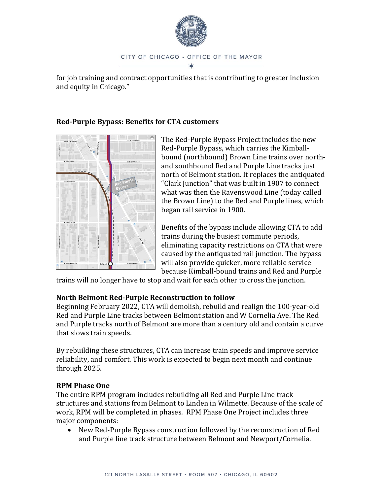

for job training and contract opportunities that is contributing to greater inclusion and equity in Chicago."

## **Red-Purple Bypass: Benefits for CTA customers**



The Red-Purple Bypass Project includes the new Red-Purple Bypass, which carries the Kimballbound (northbound) Brown Line trains over northand southbound Red and Purple Line tracks just north of Belmont station. It replaces the antiquated "Clark Junction" that was built in 1907 to connect what was then the Ravenswood Line (today called the Brown Line) to the Red and Purple lines, which began rail service in 1900.

Benefits of the bypass include allowing CTA to add trains during the busiest commute periods, eliminating capacity restrictions on CTA that were caused by the antiquated rail junction. The bypass will also provide quicker, more reliable service because Kimball-bound trains and Red and Purple

trains will no longer have to stop and wait for each other to cross the junction.

# **North Belmont Red-Purple Reconstruction to follow**

Beginning February 2022, CTA will demolish, rebuild and realign the 100-year-old Red and Purple Line tracks between Belmont station and W Cornelia Ave. The Red and Purple tracks north of Belmont are more than a century old and contain a curve that slows train speeds.

By rebuilding these structures, CTA can increase train speeds and improve service reliability, and comfort. This work is expected to begin next month and continue through 2025.

## **RPM Phase One**

The entire RPM program includes rebuilding all Red and Purple Line track structures and stations from Belmont to Linden in Wilmette. Because of the scale of work, RPM will be completed in phases. RPM Phase One Project includes three major components:

• New Red-Purple Bypass construction followed by the reconstruction of Red and Purple line track structure between Belmont and Newport/Cornelia.